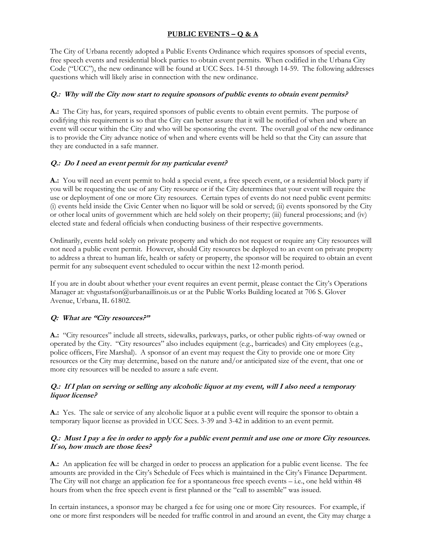# **PUBLIC EVENTS – Q & A**

The City of Urbana recently adopted a Public Events Ordinance which requires sponsors of special events, free speech events and residential block parties to obtain event permits. When codified in the Urbana City Code ("UCC"), the new ordinance will be found at UCC Secs. 14-51 through 14-59. The following addresses questions which will likely arise in connection with the new ordinance.

## **Q.: Why will the City now start to require sponsors of public events to obtain event permits?**

**A.:** The City has, for years, required sponsors of public events to obtain event permits. The purpose of codifying this requirement is so that the City can better assure that it will be notified of when and where an event will occur within the City and who will be sponsoring the event. The overall goal of the new ordinance is to provide the City advance notice of when and where events will be held so that the City can assure that they are conducted in a safe manner.

## **Q.: Do I need an event permit for my particular event?**

**A.:** You will need an event permit to hold a special event, a free speech event, or a residential block party if you will be requesting the use of any City resource or if the City determines that your event will require the use or deployment of one or more City resources. Certain types of events do not need public event permits: (i) events held inside the Civic Center when no liquor will be sold or served; (ii) events sponsored by the City or other local units of government which are held solely on their property; (iii) funeral processions; and (iv) elected state and federal officials when conducting business of their respective governments.

Ordinarily, events held solely on private property and which do not request or require any City resources will not need a public event permit. However, should City resources be deployed to an event on private property to address a threat to human life, health or safety or property, the sponsor will be required to obtain an event permit for any subsequent event scheduled to occur within the next 12-month period.

If you are in doubt about whether your event requires an event permit, please contact the City's Operations Manager at: vhgustafson@urbanaillinois.us or at the Public Works Building located at 706 S. Glover Avenue, Urbana, IL 61802.

## **Q: What are "City resources?"**

**A.:** "City resources" include all streets, sidewalks, parkways, parks, or other public rights-of-way owned or operated by the City. "City resources" also includes equipment (e.g., barricades) and City employees (e.g., police officers, Fire Marshal). A sponsor of an event may request the City to provide one or more City resources or the City may determine, based on the nature and/or anticipated size of the event, that one or more city resources will be needed to assure a safe event.

### **Q.: If I plan on serving or selling any alcoholic liquor at my event, will I also need a temporary liquor license?**

**A.:** Yes. The sale or service of any alcoholic liquor at a public event will require the sponsor to obtain a temporary liquor license as provided in UCC Secs. 3-39 and 3-42 in addition to an event permit.

### **Q.: Must I pay a fee in order to apply for a public event permit and use one or more City resources. If so, how much are those fees?**

**A.:** An application fee will be charged in order to process an application for a public event license. The fee amounts are provided in the City's Schedule of Fees which is maintained in the City's Finance Department. The City will not charge an application fee for a spontaneous free speech events – i.e., one held within 48 hours from when the free speech event is first planned or the "call to assemble" was issued.

In certain instances, a sponsor may be charged a fee for using one or more City resources. For example, if one or more first responders will be needed for traffic control in and around an event, the City may charge a